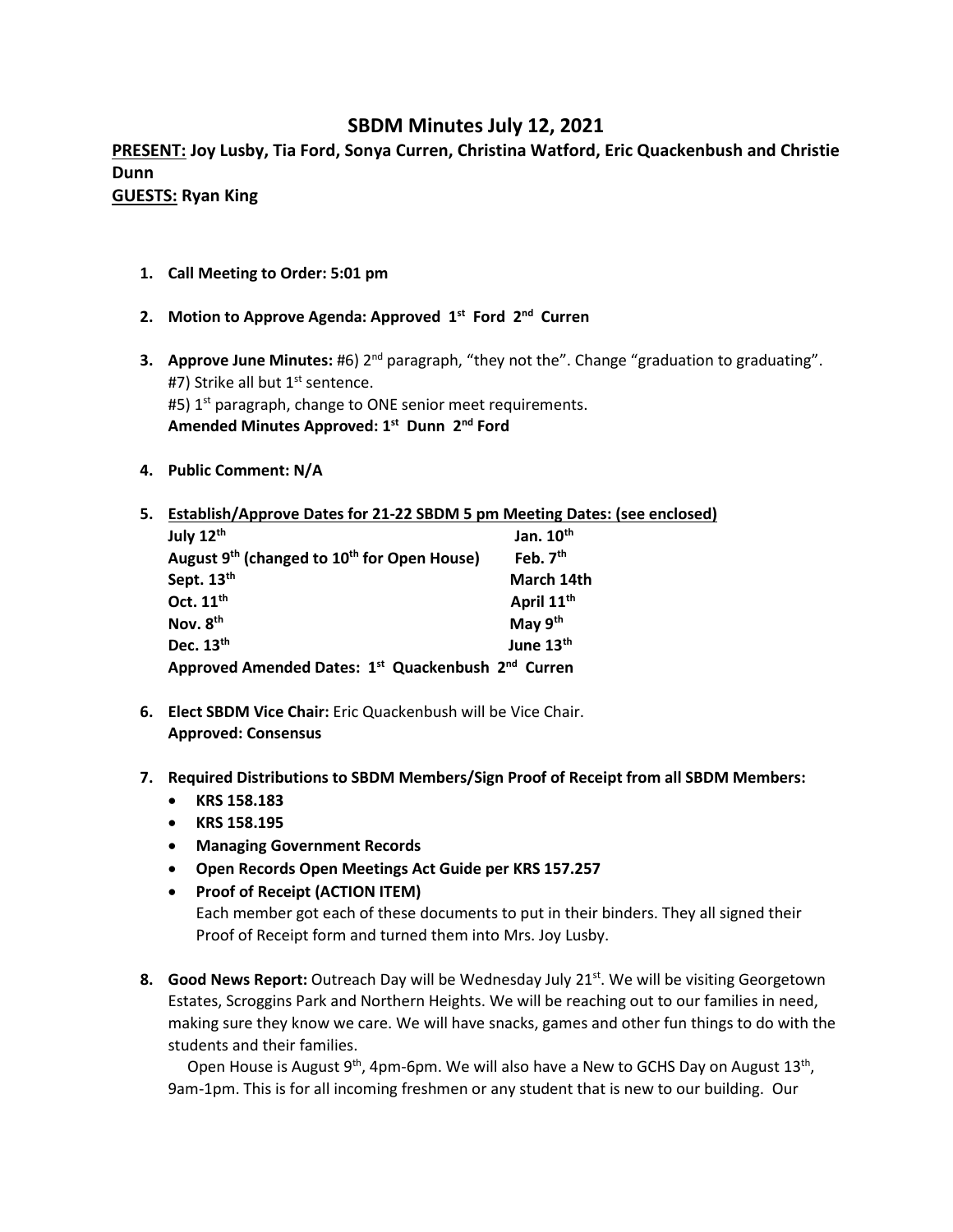## **SBDM Minutes July 12, 2021**

**PRESENT: Joy Lusby, Tia Ford, Sonya Curren, Christina Watford, Eric Quackenbush and Christie Dunn GUESTS: Ryan King**

- **1. Call Meeting to Order: 5:01 pm**
- **2. Motion to Approve Agenda: Approved 1st Ford 2nd Curren**
- **3. Approve June Minutes:** #6) 2<sup>nd</sup> paragraph, "they not the". Change "graduation to graduating". #7) Strike all but 1<sup>st</sup> sentence. #5)  $1<sup>st</sup>$  paragraph, change to ONE senior meet requirements. **Amended Minutes Approved: 1st Dunn 2nd Ford**
- **4. Public Comment: N/A**

| 5. | Establish/Approve Dates for 21-22 SBDM 5 pm Meeting Dates: (see enclosed)  |                        |
|----|----------------------------------------------------------------------------|------------------------|
|    | July 12th                                                                  | Jan. $10th$            |
|    | August 9 <sup>th</sup> (changed to 10 <sup>th</sup> for Open House)        | Feb. $7th$             |
|    | Sept. 13th                                                                 | March 14th             |
|    | Oct. 11 <sup>th</sup>                                                      | April 11 <sup>th</sup> |
|    | Nov. 8 <sup>th</sup>                                                       | May 9 <sup>th</sup>    |
|    | Dec. 13th                                                                  | June 13th              |
|    | Approved Amended Dates: 1 <sup>st</sup> Quackenbush 2 <sup>nd</sup> Curren |                        |

- **6. Elect SBDM Vice Chair:** Eric Quackenbush will be Vice Chair. **Approved: Consensus**
- **7. Required Distributions to SBDM Members/Sign Proof of Receipt from all SBDM Members:**
	- **KRS 158.183**
	- **KRS 158.195**
	- **Managing Government Records**
	- **Open Records Open Meetings Act Guide per KRS 157.257**
	- **Proof of Receipt (ACTION ITEM)**

Each member got each of these documents to put in their binders. They all signed their Proof of Receipt form and turned them into Mrs. Joy Lusby.

**8. Good News Report:** Outreach Day will be Wednesday July 21<sup>st</sup>. We will be visiting Georgetown Estates, Scroggins Park and Northern Heights. We will be reaching out to our families in need, making sure they know we care. We will have snacks, games and other fun things to do with the students and their families.

Open House is August 9<sup>th</sup>, 4pm-6pm. We will also have a New to GCHS Day on August 13<sup>th</sup>, 9am-1pm. This is for all incoming freshmen or any student that is new to our building. Our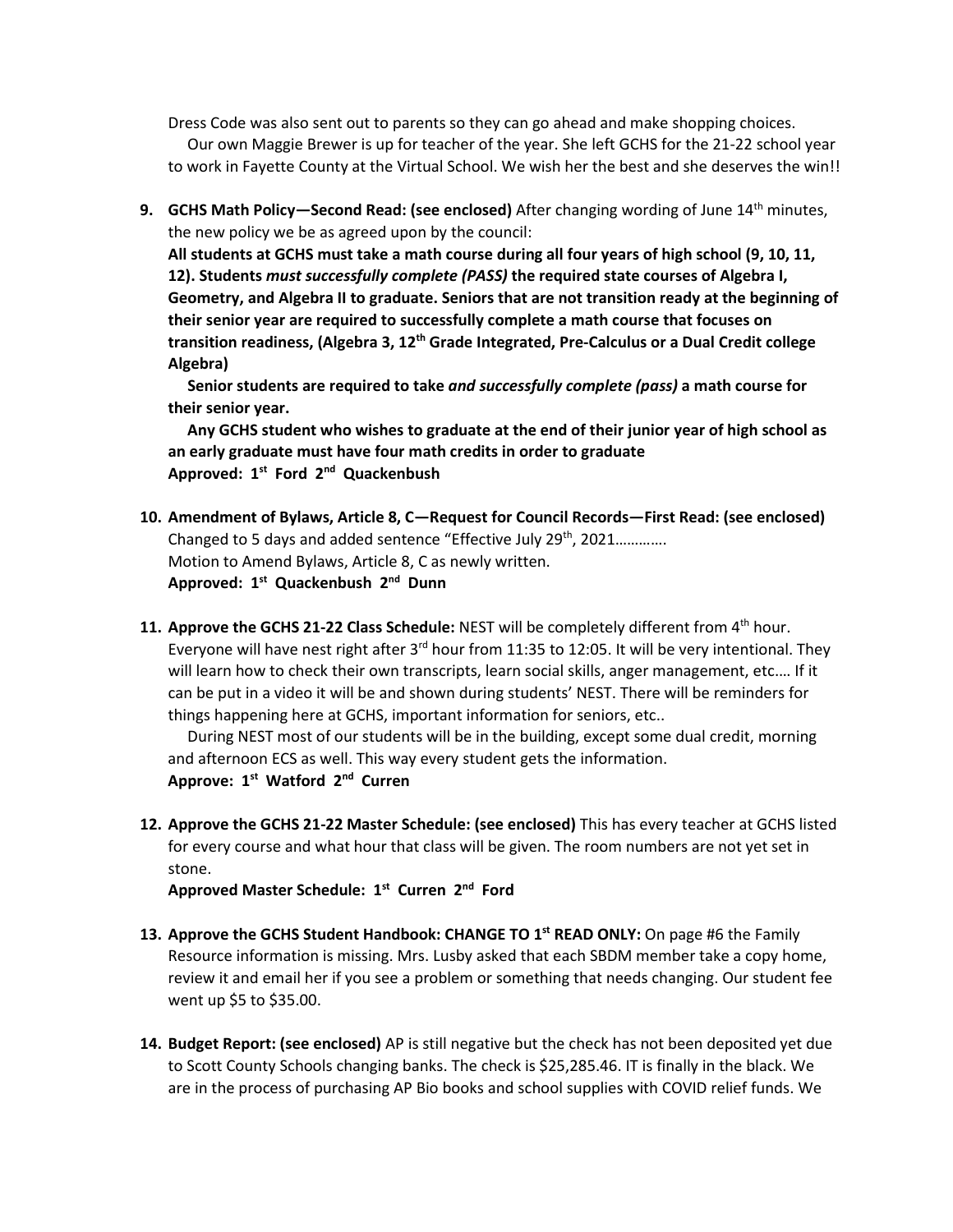Dress Code was also sent out to parents so they can go ahead and make shopping choices. Our own Maggie Brewer is up for teacher of the year. She left GCHS for the 21-22 school year

to work in Fayette County at the Virtual School. We wish her the best and she deserves the win!!

**9. GCHS Math Policy—Second Read: (see enclosed)** After changing wording of June 14<sup>th</sup> minutes, the new policy we be as agreed upon by the council:

**All students at GCHS must take a math course during all four years of high school (9, 10, 11, 12). Students** *must successfully complete (PASS)* **the required state courses of Algebra I, Geometry, and Algebra II to graduate. Seniors that are not transition ready at the beginning of their senior year are required to successfully complete a math course that focuses on transition readiness, (Algebra 3, 12th Grade Integrated, Pre-Calculus or a Dual Credit college Algebra)** 

 **Senior students are required to take** *and successfully complete (pass)* **a math course for their senior year.** 

 **Any GCHS student who wishes to graduate at the end of their junior year of high school as an early graduate must have four math credits in order to graduate Approved: 1st Ford 2nd Quackenbush**

- **10. Amendment of Bylaws, Article 8, C—Request for Council Records—First Read: (see enclosed)**  Changed to 5 days and added sentence "Effective July 29<sup>th</sup>, 2021............. Motion to Amend Bylaws, Article 8, C as newly written. **Approved: 1st Quackenbush 2nd Dunn**
- **11. Approve the GCHS 21-22 Class Schedule:** NEST will be completely different from 4th hour. Everyone will have nest right after  $3^{rd}$  hour from 11:35 to 12:05. It will be very intentional. They will learn how to check their own transcripts, learn social skills, anger management, etc.… If it can be put in a video it will be and shown during students' NEST. There will be reminders for things happening here at GCHS, important information for seniors, etc..

 During NEST most of our students will be in the building, except some dual credit, morning and afternoon ECS as well. This way every student gets the information. **Approve: 1st Watford 2nd Curren**

**12. Approve the GCHS 21-22 Master Schedule: (see enclosed)** This has every teacher at GCHS listed for every course and what hour that class will be given. The room numbers are not yet set in stone.

**Approved Master Schedule: 1st Curren 2nd Ford**

- **13. Approve the GCHS Student Handbook: CHANGE TO 1st READ ONLY:** On page #6 the Family Resource information is missing. Mrs. Lusby asked that each SBDM member take a copy home, review it and email her if you see a problem or something that needs changing. Our student fee went up \$5 to \$35.00.
- **14. Budget Report: (see enclosed)** AP is still negative but the check has not been deposited yet due to Scott County Schools changing banks. The check is \$25,285.46. IT is finally in the black. We are in the process of purchasing AP Bio books and school supplies with COVID relief funds. We